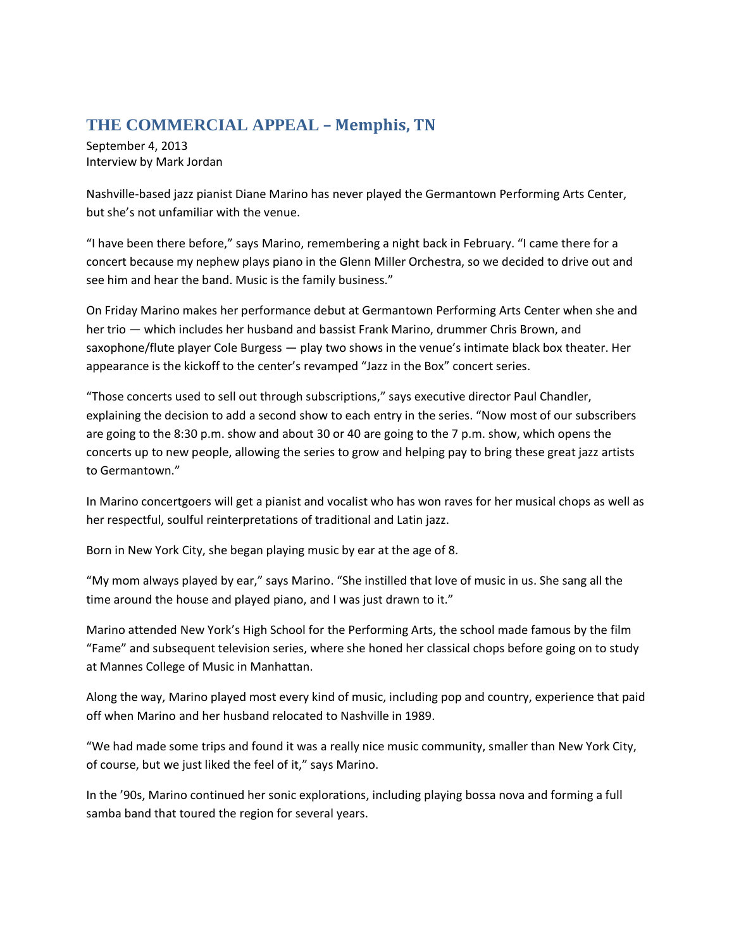## **THE COMMERCIAL APPEAL – Memphis, TN**

September 4, 2013 Interview by Mark Jordan

Nashville-based jazz pianist Diane Marino has never played the Germantown Performing Arts Center, but she's not unfamiliar with the venue.

"I have been there before," says Marino, remembering a night back in February. "I came there for a concert because my nephew plays piano in the Glenn Miller Orchestra, so we decided to drive out and see him and hear the band. Music is the family business."

On Friday Marino makes her performance debut at Germantown Performing Arts Center when she and her trio — which includes her husband and bassist Frank Marino, drummer Chris Brown, and saxophone/flute player Cole Burgess — play two shows in the venue's intimate black box theater. Her appearance is the kickoff to the center's revamped "Jazz in the Box" concert series.

"Those concerts used to sell out through subscriptions," says executive director Paul Chandler, explaining the decision to add a second show to each entry in the series. "Now most of our subscribers are going to the 8:30 p.m. show and about 30 or 40 are going to the 7 p.m. show, which opens the concerts up to new people, allowing the series to grow and helping pay to bring these great jazz artists to Germantown."

In Marino concertgoers will get a pianist and vocalist who has won raves for her musical chops as well as her respectful, soulful reinterpretations of traditional and Latin jazz.

Born in New York City, she began playing music by ear at the age of 8.

"My mom always played by ear," says Marino. "She instilled that love of music in us. She sang all the time around the house and played piano, and I was just drawn to it."

Marino attended New York's High School for the Performing Arts, the school made famous by the film "Fame" and subsequent television series, where she honed her classical chops before going on to study at Mannes College of Music in Manhattan.

Along the way, Marino played most every kind of music, including pop and country, experience that paid off when Marino and her husband relocated to Nashville in 1989.

"We had made some trips and found it was a really nice music community, smaller than New York City, of course, but we just liked the feel of it," says Marino.

In the '90s, Marino continued her sonic explorations, including playing bossa nova and forming a full samba band that toured the region for several years.